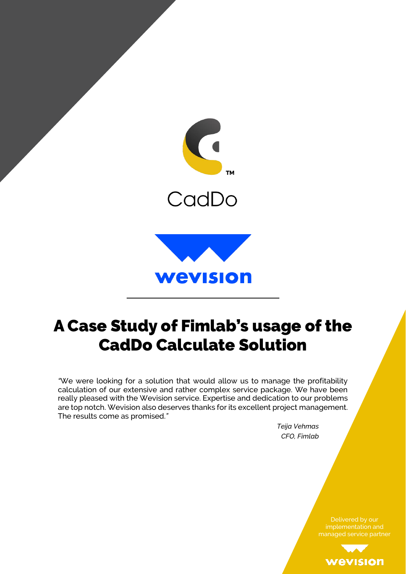

## A Case Study of Fimlab's usage of the CadDo Calculate Solution

*"*We were looking for a solution that would allow us to manage the profitability calculation of our extensive and rather complex service package. We have been really pleased with the Wevision service. Expertise and dedication to our problems are top notch. Wevision also deserves thanks for its excellent project management. The results come as promised.*"*

> *Teija Vehmas CFO, Fimlab*

> > implementation and managed service partner